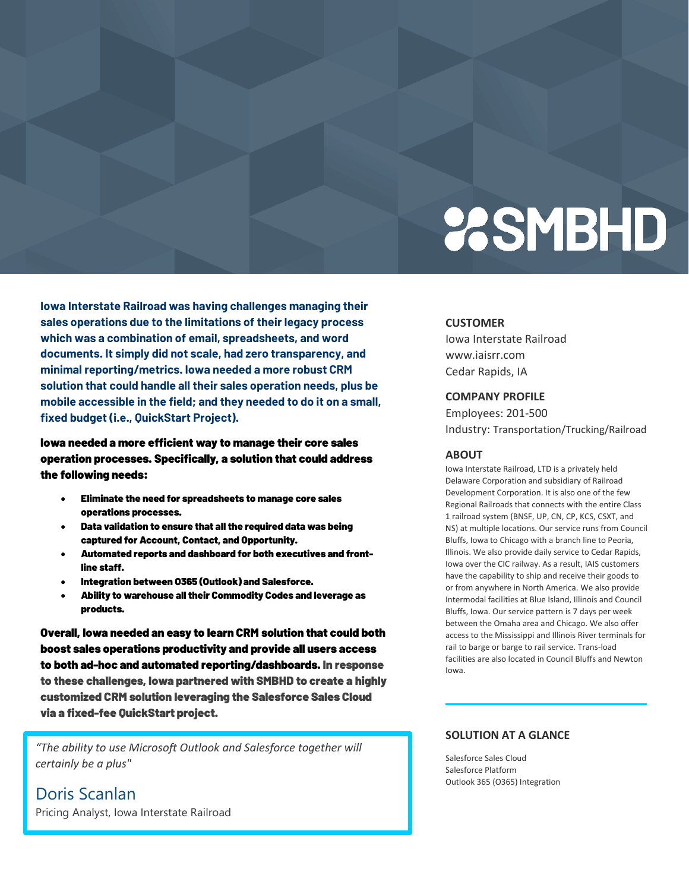# **2SMBHD**

**Iowa Interstate Railroad was having challenges managing their sales operations due to the limitations of their legacy process which was a combination of email, spreadsheets, and word documents. It simply did not scale, had zero transparency, and minimal reporting/metrics. Iowa needed a more robust CRM solution that could handle all their sales operation needs, plus be mobile accessible in the field; and they needed to do it on a small, fixed budget (i.e., QuickStart Project).**

Iowa needed a more efficient way to manage their core sales operation processes. Specifically, a solution that could address the following needs:

- Eliminate the need for spreadsheets to manage core sales operations processes.
- Data validation to ensure that all the required data was being captured for Account, Contact, and Opportunity.
- Automated reports and dashboard for both executives and frontline staff.
- Integration between O365 (Outlook) and Salesforce.
- Ability to warehouse all their Commodity Codes and leverage as products.

Overall, Iowa needed an easy to learn CRM solution that could both boost sales operations productivity and provide all users access to both ad-hoc and automated reporting/dashboards. In response to these challenges, Iowa partnered with SMBHD to create a highly customized CRM solution leveraging the Salesforce Sales Cloud via a fixed-fee QuickStart project.

*"The ability to use Microsoft Outlook and Salesforce together will certainly be a plus"*

Doris Scanlan Pricing Analyst, Iowa Interstate Railroad

#### **CUSTOMER**

Iowa Interstate Railroad www.iaisrr.com Cedar Rapids, IA

### **COMPANY PROFILE**

Employees: 201-500 Industry: Transportation/Trucking/Railroad

#### **ABOUT**

Iowa Interstate Railroad, LTD is a privately held Delaware Corporation and subsidiary of Railroad Development Corporation. It is also one of the few Regional Railroads that connects with the entire Class 1 railroad system (BNSF, UP, CN, CP, KCS, CSXT, and NS) at multiple locations. Our service runs from Council Bluffs, Iowa to Chicago with a branch line to Peoria, Illinois. We also provide daily service to Cedar Rapids, Iowa over the CIC railway. As a result, IAIS customers have the capability to ship and receive their goods to or from anywhere in North America. We also provide Intermodal facilities at Blue Island, Illinois and Council Bluffs, Iowa. Our service pattern is 7 days per week between the Omaha area and Chicago. We also offer access to the Mississippi and Illinois River terminals for rail to barge or barge to rail service. Trans-load facilities are also located in Council Bluffs and Newton Iowa.

#### **SOLUTION AT A GLANCE**

Salesforce Sales Cloud Salesforce Platform Outlook 365 (O365) Integration